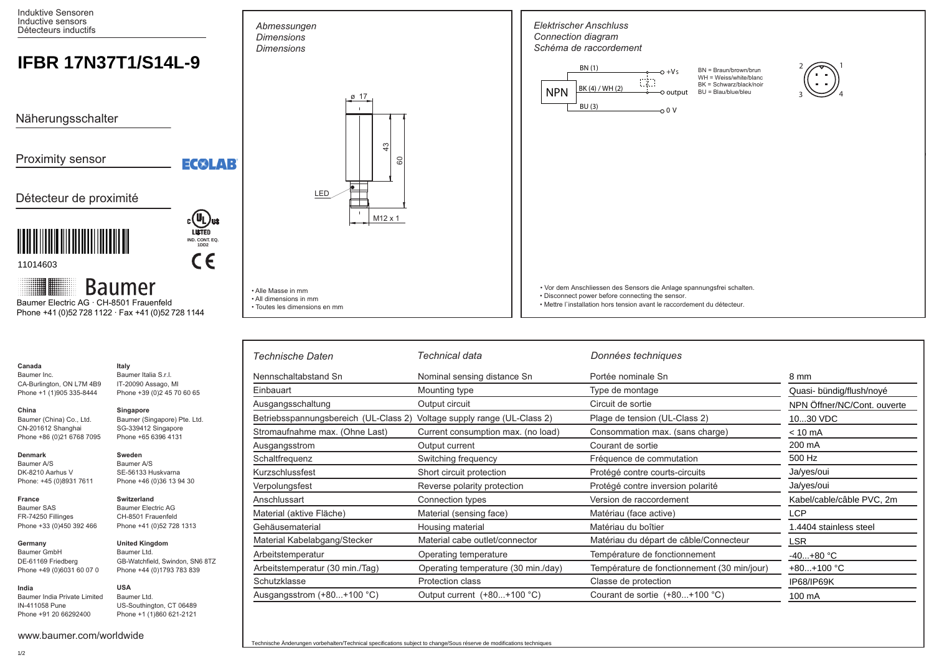Induktive Sensoren Inductive sensors Détecteurs inductifs

## **IFBR 17N37T1/S14L-9**

Näherungsschalter

Proximity sensor

EC®LAB

**IND. CONT. EQ. 1DD2**

 $C<sub>6</sub>$ 

## Détecteur de proximité



11014603

**Baumer** 

 Phone +41 (0)52 728 1122 · Fax +41 (0)52 728 1144 Baumer Electric AG · CH-8501 Frauenfeld

> Baumer A/S SE-56133 Huskvarna Phone +46 (0)36 13 94 30

**Switzerland** Baumer Electric AG CH-8501 Frauenfeld Phone +41 (0)52 728 1313

**United Kingdom** Baumer Ltd.

**USA** Baumer Ltd.

GB-Watchfield, Swindon, SN6 8TZ Phone +44 (0)1793 783 839

US-Southington, CT 06489 Phone +1 (1)860 621-2121

| Canada                                                 | Italv                        |
|--------------------------------------------------------|------------------------------|
| Baumer Inc.                                            | Baumer Italia S.r.I.         |
| CA-Burlington, ON L7M 4B9                              | IT-20090 Assago, MI          |
| Phone +39 (0)2 45 70 60 65<br>Phone +1 (1)905 335-8444 |                              |
| China                                                  | Singapore                    |
| Baumer (China) Co., Ltd.                               | Baumer (Singapore) Pte. Ltd. |
| CN-201612 Shanghai                                     | SG-339412 Singapore          |
| Phone +86 (0)21 6768 7095                              | Phone +65 6396 4131          |
| Denmark                                                | Sweden                       |

Baumer A/S DK-8210 Aarhus V Phone: +45 (0)8931 7611

## **France** Baumer SAS FR-74250 Fillinges Phone +33 (0)450 392 466

**Germany**  Baumer GmbH DE-61169 Friedberg Phone +49 (0)6031 60 07 0

## **India** Baumer India Private Limited

IN-411058 Pune Phone +91 20 66292400

www.baumer.com/worldwide



• Alle Masse in mm • All dimensions in mm • Toutes les dimensions en mm

*Abmessungen* 



• Mettre l`installation hors tension avant le raccordement du détecteur.

| Technische Daten                      | Technical data                      | Données techniques                          |                             |
|---------------------------------------|-------------------------------------|---------------------------------------------|-----------------------------|
| Nennschaltabstand Sn                  | Nominal sensing distance Sn         | Portée nominale Sn                          | 8 mm                        |
| Einbauart                             | Mounting type                       | Type de montage                             | Quasi- bündig/flush/noyé    |
| Ausgangsschaltung                     | Output circuit                      | Circuit de sortie                           | NPN Öffner/NC/Cont. ouverte |
| Betriebsspannungsbereich (UL-Class 2) | Voltage supply range (UL-Class 2)   | Plage de tension (UL-Class 2)               | 1030 VDC                    |
| Stromaufnahme max. (Ohne Last)        | Current consumption max. (no load)  | Consommation max. (sans charge)             | $< 10 \text{ mA}$           |
| Ausgangsstrom                         | Output current                      | Courant de sortie                           | 200 mA                      |
| Schaltfrequenz                        | Switching frequency                 | Fréquence de commutation                    | 500 Hz                      |
| Kurzschlussfest                       | Short circuit protection            | Protégé contre courts-circuits              | Ja/yes/oui                  |
| Verpolungsfest                        | Reverse polarity protection         | Protégé contre inversion polarité           | Ja/yes/oui                  |
| Anschlussart                          | Connection types                    | Version de raccordement                     | Kabel/cable/câble PVC, 2m   |
| Material (aktive Fläche)              | Material (sensing face)             | Matériau (face active)                      | <b>LCP</b>                  |
| Gehäusematerial                       | Housing material                    | Matériau du boîtier                         | 1.4404 stainless steel      |
| Material Kabelabgang/Stecker          | Material cabe outlet/connector      | Matériau du départ de câble/Connecteur      | <b>LSR</b>                  |
| Arbeitstemperatur                     | Operating temperature               | Température de fonctionnement               | $-40+80 °C$                 |
| Arbeitstemperatur (30 min./Tag)       | Operating temperature (30 min./day) | Température de fonctionnement (30 min/jour) | $+80+100$ °C                |
| Schutzklasse                          | <b>Protection class</b>             | Classe de protection                        | IP68/IP69K                  |
| Ausgangsstrom (+80+100 °C)            | Output current (+80+100 °C)         | Courant de sortie $(+80+100$ °C)            | 100 mA                      |